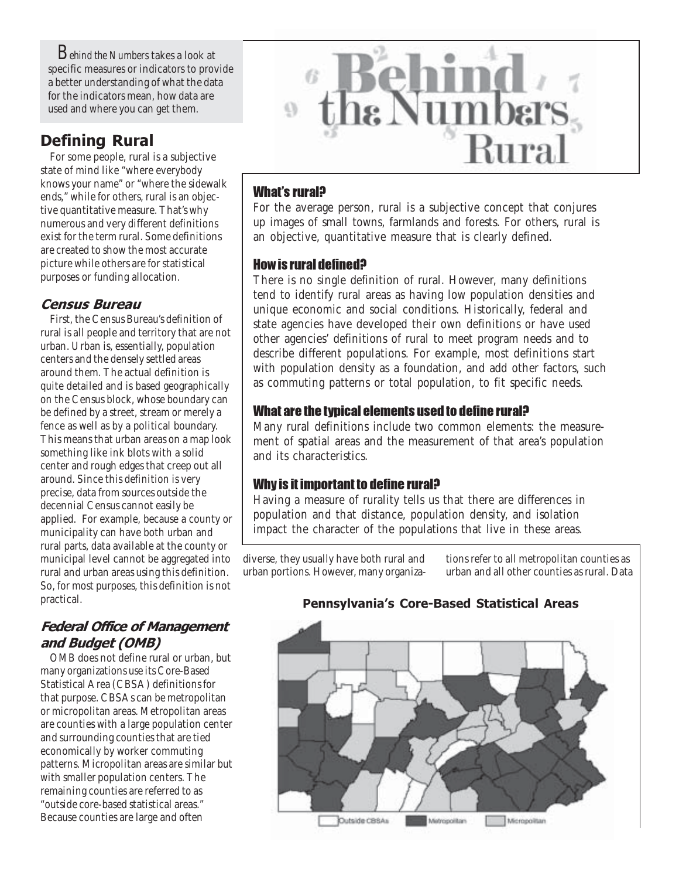*Behind the Numbers* takes a look at specific measures or indicators to provide a better understanding of what the data for the indicators mean, how data are used and where you can get them.

# Defining Rural

For some people, rural is a subjective state of mind like "where everybody knows your name" or "where the sidewalk ends," while for others, rural is an objective quantitative measure. That's why numerous and very different definitions exist for the term rural. Some definitions are created to show the most accurate picture while others are for statistical purposes or funding allocation.

## Census Bureau

First, the Census Bureau's definition of rural is all people and territory that are not urban. Urban is, essentially, population centers and the densely settled areas around them. The actual definition is quite detailed and is based geographically on the Census block, whose boundary can be defined by a street, stream or merely a fence as well as by a political boundary. This means that urban areas on a map look something like ink blots with a solid center and rough edges that creep out all around. Since this definition is very precise, data from sources outside the decennial Census cannot easily be applied. For example, because a county or municipality can have both urban and rural parts, data available at the county or municipal level cannot be aggregated into rural and urban areas using this definition. So, for most purposes, this definition is not practical.

# Federal Office of Management and Budget (OMB)

OMB does not define rural or urban, but many organizations use its Core-Based Statistical Area (CBSA) definitions for that purpose. CBSAs can be metropolitan or micropolitan areas. Metropolitan areas are counties with a large population center and surrounding counties that are tied economically by worker commuting patterns. Micropolitan areas are similar but with smaller population centers. The remaining counties are referred to as "outside core-based statistical areas." Because counties are large and often



## What's rural?

For the average person, rural is a subjective concept that conjures up images of small towns, farmlands and forests. For others, rural is an objective, quantitative measure that is clearly defined.

### How is rural defined?

There is no single definition of rural. However, many definitions tend to identify rural areas as having low population densities and unique economic and social conditions. Historically, federal and state agencies have developed their own definitions or have used other agencies' definitions of rural to meet program needs and to describe different populations. For example, most definitions start with population density as a foundation, and add other factors, such as commuting patterns or total population, to fit specific needs.

## What are the typical elements used to define rural?

Many rural definitions include two common elements: the measurement of spatial areas and the measurement of that area's population and its characteristics.

### Why is it important to define rural?

Having a measure of rurality tells us that there are differences in population and that distance, population density, and isolation impact the character of the populations that live in these areas.

diverse, they usually have both rural and urban portions. However, many organizations refer to all metropolitan counties as urban and all other counties as rural. Data

# Outside CBSAs Micropolitan Metropolitan

### Pennsylvania's Core-Based Statistical Areas